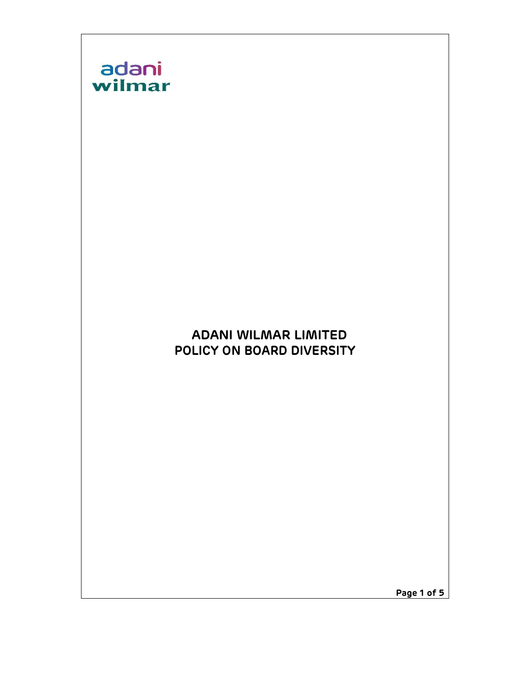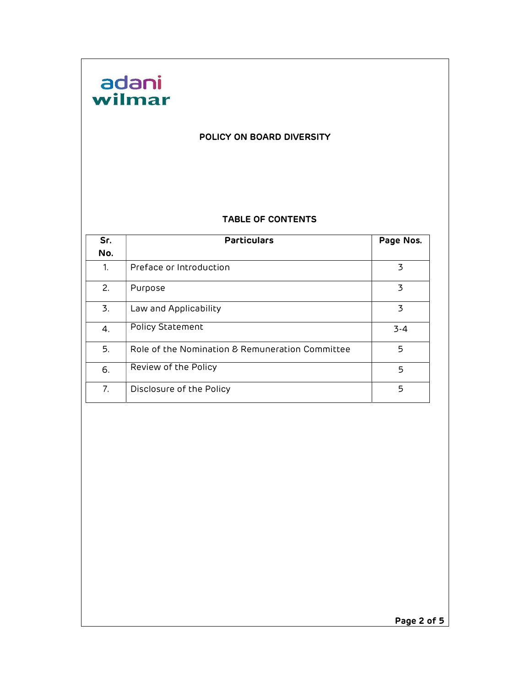

#### POLICY ON BOARD DIVERSITY

#### TABLE OF CONTENTS

| Sr. | <b>Particulars</b>                              | Page Nos. |
|-----|-------------------------------------------------|-----------|
| No. |                                                 |           |
| 1.  | Preface or Introduction                         | 3         |
| 2.  | Purpose                                         | 3         |
| 3.  | Law and Applicability                           | 3         |
| 4.  | Policy Statement                                | $3 - 4$   |
| 5.  | Role of the Nomination & Remuneration Committee | 5         |
| 6.  | Review of the Policy                            | 5         |
| 7.  | Disclosure of the Policy                        | 5         |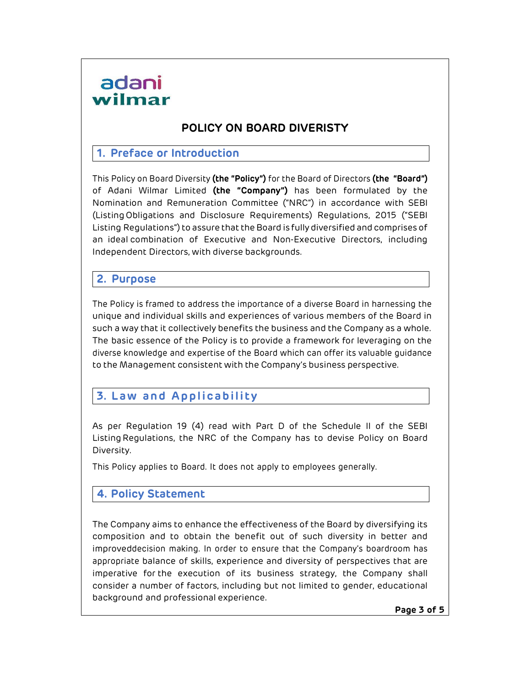## adani wilmar

## POLICY ON BOARD DIVERISTY

#### 1. Preface or Introduction

This Policy on Board Diversity (the "Policy") for the Board of Directors (the "Board") of Adani Wilmar Limited (the "Company") has been formulated by the Nomination and Remuneration Committee ("NRC") in accordance with SEBI (Listing Obligations and Disclosure Requirements) Regulations, 2015 ("SEBI Listing Regulations") to assure that the Board is fully diversified and comprises of an ideal combination of Executive and Non-Executive Directors, including Independent Directors, with diverse backgrounds.

### 2. Purpose

The Policy is framed to address the importance of a diverse Board in harnessing the unique and individual skills and experiences of various members of the Board in such a way that it collectively benefits the business and the Company as a whole. The basic essence of the Policy is to provide a framework for leveraging on the diverse knowledge and expertise of the Board which can offer its valuable guidance to the Management consistent with the Company's business perspective.

## 3. Law and Applicability

As per Regulation 19 (4) read with Part D of the Schedule II of the SEBI Listing Regulations, the NRC of the Company has to devise Policy on Board Diversity.

This Policy applies to Board. It does not apply to employees generally.

### 4. Policy Statement

The Company aims to enhance the effectiveness of the Board by diversifying its composition and to obtain the benefit out of such diversity in better and improved decision making. In order to ensure that the Company's boardroom has appropriate balance of skills, experience and diversity of perspectives that are imperative for the execution of its business strategy, the Company shall consider a number of factors, including but not limited to gender, educational background and professional experience.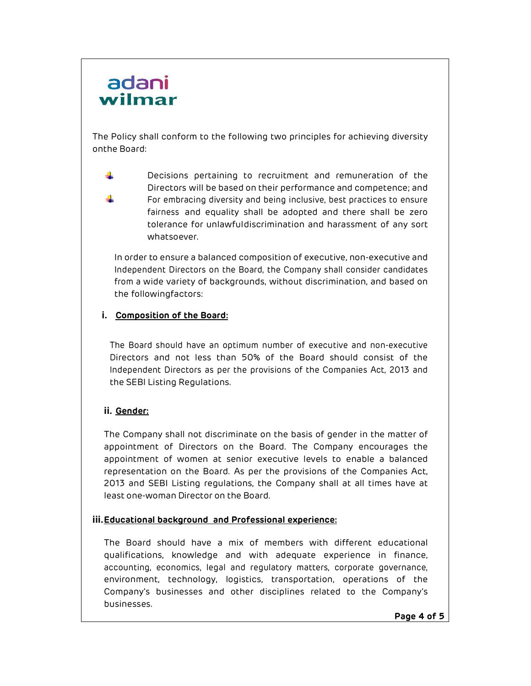## adani wilmar

The Policy shall conform to the following two principles for achieving diversity on the Board:

÷ Decisions pertaining to recruitment and remuneration of the Directors will be based on their performance and competence; and ÷ For embracing diversity and being inclusive, best practices to ensure fairness and equality shall be adopted and there shall be zero tolerance for unlawful discrimination and harassment of any sort whatsoever.

In order to ensure a balanced composition of executive, non-executive and Independent Directors on the Board, the Company shall consider candidates from a wide variety of backgrounds, without discrimination, and based on the following factors:

#### i. Composition of the Board:

The Board should have an optimum number of executive and non-executive Directors and not less than 50% of the Board should consist of the Independent Directors as per the provisions of the Companies Act, 2013 and the SEBI Listing Regulations.

#### ii. Gender:

The Company shall not discriminate on the basis of gender in the matter of appointment of Directors on the Board. The Company encourages the appointment of women at senior executive levels to enable a balanced representation on the Board. As per the provisions of the Companies Act, 2013 and SEBI Listing regulations, the Company shall at all times have at least one-woman Director on the Board.

#### iii. Educational background and Professional experience:

The Board should have a mix of members with different educational qualifications, knowledge and with adequate experience in finance, accounting, economics, legal and regulatory matters, corporate governance, environment, technology, logistics, transportation, operations of the Company's businesses and other disciplines related to the Company's businesses.